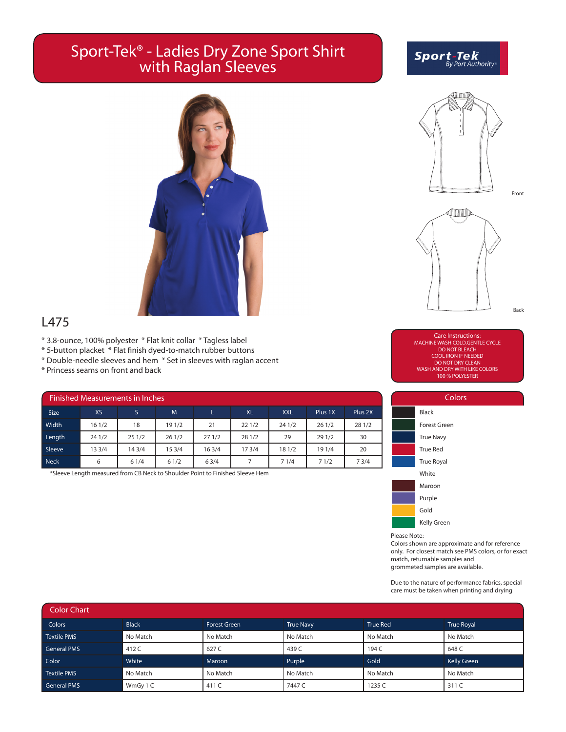## Sport-Tek® - Ladies Dry Zone Sport Shirt with Raglan Sleeves

# **Sport-Tek**<br>By Port Authority



Front



L475

- \* 3.8-ounce, 100% polyester \* Flat knit collar \* Tagless label
- \* 5-button placket \* Flat finish dyed-to-match rubber buttons
- \* Double-needle sleeves and hem \* Set in sleeves with raglan accent
- \* Princess seams on front and back

| <b>Finished Measurements in Inches</b> |        |        |        |       |           |            |         |         |  |  |  |
|----------------------------------------|--------|--------|--------|-------|-----------|------------|---------|---------|--|--|--|
| <b>Size</b>                            | XS     | S.     | M      |       | <b>XL</b> | <b>XXL</b> | Plus 1X | Plus 2X |  |  |  |
| Width                                  | 161/2  | 18     | 19 1/2 | 21    | 221/2     | 24 1/2     | 261/2   | 28 1/2  |  |  |  |
| Length                                 | 24 1/2 | 251/2  | 261/2  | 271/2 | 28 1/2    | 29         | 29 1/2  | 30      |  |  |  |
| Sleeve                                 | 13 3/4 | 14 3/4 | 15 3/4 | 163/4 | 173/4     | 18 1/2     | 19 1/4  | 20      |  |  |  |
| <b>Neck</b>                            | 6      | 61/4   | 61/2   | 63/4  | 7         | 71/4       | 71/2    | 73/4    |  |  |  |

\*Sleeve Length measured from CB Neck to Shoulder Point to Finished Sleeve Hem

Care Instructions: MACHINE WASH COLD,GENTLE CYCLE DO NOT BLEACH COOL IRON IF NEEDED DO NOT DRY CLEAN WASH AND DRY WITH LIKE COLORS 100 % POLYESTER



Please Note:

Colors shown are approximate and for reference only. For closest match see PMS colors, or for exact match, returnable samples and grommeted samples are available.

Due to the nature of performance fabrics, special care must be taken when printing and drying

| <b>Color Chart</b> |              |                     |                  |                 |                    |  |  |  |  |  |
|--------------------|--------------|---------------------|------------------|-----------------|--------------------|--|--|--|--|--|
| <b>Colors</b>      | <b>Black</b> | <b>Forest Green</b> | <b>True Navy</b> | <b>True Red</b> | <b>True Royal</b>  |  |  |  |  |  |
| <b>Textile PMS</b> | No Match     | No Match            | No Match         | No Match        | No Match           |  |  |  |  |  |
| <b>General PMS</b> | 412 C        | 627 C               | 439 C            | 194 C           | 648 C              |  |  |  |  |  |
| Color              | White        | Maroon              | Purple           | Gold            | <b>Kelly Green</b> |  |  |  |  |  |
| <b>Textile PMS</b> | No Match     | No Match            | No Match         | No Match        | No Match           |  |  |  |  |  |
| <b>General PMS</b> | WmGy 1 C     | 411 C               | 7447 C           | 1235 C          | 311 C              |  |  |  |  |  |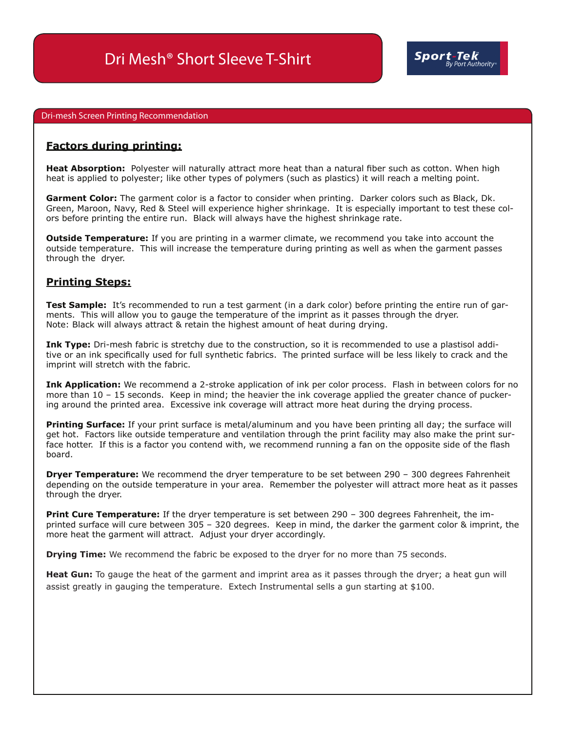#### Dri-mesh Screen Printing Recommendation

#### **Factors during printing:**

**Heat Absorption:** Polyester will naturally attract more heat than a natural fiber such as cotton. When high heat is applied to polyester; like other types of polymers (such as plastics) it will reach a melting point.

**Garment Color:** The garment color is a factor to consider when printing. Darker colors such as Black, Dk. Green, Maroon, Navy, Red & Steel will experience higher shrinkage. It is especially important to test these colors before printing the entire run. Black will always have the highest shrinkage rate.

**Outside Temperature:** If you are printing in a warmer climate, we recommend you take into account the outside temperature. This will increase the temperature during printing as well as when the garment passes through the dryer.

#### **Printing Steps:**

**Test Sample:** It's recommended to run a test garment (in a dark color) before printing the entire run of garments. This will allow you to gauge the temperature of the imprint as it passes through the dryer. Note: Black will always attract & retain the highest amount of heat during drying.

**Ink Type:** Dri-mesh fabric is stretchy due to the construction, so it is recommended to use a plastisol additive or an ink specifically used for full synthetic fabrics. The printed surface will be less likely to crack and the imprint will stretch with the fabric.

**Ink Application:** We recommend a 2-stroke application of ink per color process. Flash in between colors for no more than 10 – 15 seconds. Keep in mind; the heavier the ink coverage applied the greater chance of puckering around the printed area. Excessive ink coverage will attract more heat during the drying process.

**Printing Surface:** If your print surface is metal/aluminum and you have been printing all day; the surface will get hot. Factors like outside temperature and ventilation through the print facility may also make the print surface hotter. If this is a factor you contend with, we recommend running a fan on the opposite side of the flash board.

**Dryer Temperature:** We recommend the dryer temperature to be set between 290 – 300 degrees Fahrenheit depending on the outside temperature in your area. Remember the polyester will attract more heat as it passes through the dryer.

**Print Cure Temperature:** If the dryer temperature is set between 290 – 300 degrees Fahrenheit, the imprinted surface will cure between 305 – 320 degrees. Keep in mind, the darker the garment color & imprint, the more heat the garment will attract. Adjust your dryer accordingly.

**Drying Time:** We recommend the fabric be exposed to the dryer for no more than 75 seconds.

**Heat Gun:** To gauge the heat of the garment and imprint area as it passes through the dryer; a heat gun will assist greatly in gauging the temperature. Extech Instrumental sells a gun starting at \$100.